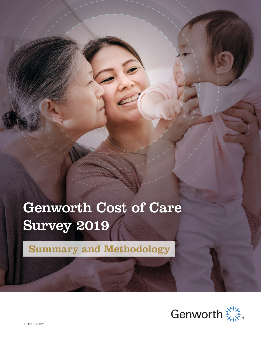# Genworth Cost of Care Survey 2019

**Summary and Methodology**

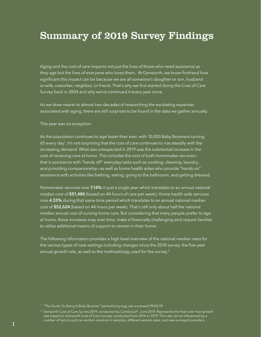## Summary of 2019 Survey Findings

Aging and the cost of care impacts not just the lives of those who need assistance as they age but the lives of everyone who loves them. At Genworth, we know firsthand how significant this impact can be because we are all someone's daughter or son, husband or wife, coworker, neighbor, or friend. That's why we first started doing the Cost of Care Survey back in 2004 and why we've continued it every year since.

As we draw nearer to almost two decades of researching the escalating expenses associated with aging, there are still surprises to be found in the data we gather annually.

This year was no exception.

As the population continues to age faster than ever, with 10,000 Baby Boomers turning 65 every day<sup>1</sup>, it's not surprising that the cost of care continues to rise steadily with the increasing demand. What was unexpected in 2019 was the substantial increase in the cost of receiving care at home. This includes the cost of both homemaker services that is assistance with "hands off" everyday tasks such as cooking, cleaning, laundry, and providing companionship—as well as home health aides who provide "hands on" assistance with activities like bathing, eating, going to the bathroom, and getting dressed.

Homemaker services rose 7.14% in just a single year which translates to an annual national median cost of \$51,480 (based on 44 hours of care per week). Home health aide services rose 4.55% during that same time period which translates to an annual national median cost of \$52,624 (based on 44 hours per week). That's still only about half the national median annual cost of nursing home care. But considering that many people prefer to age at home, these increases may over time, make it financially challenging and require families to utilize additional means of support to remain in their home.

The following information provides a high level overview of the national median rates for the various types of care settings including changes since the 2018 survey, the five-year annual growth rate, as well as the methodology used for the survey.<sup>2</sup>

<sup>&</sup>lt;sup>1</sup> "The Guide To Being A Baby Boomer" (seniorliving.org), site accessed 09/20/19.

<sup>2</sup> Genworth Cost of Care Survey 2019, conducted by CareScout®, June 2019. Represents the Year over Year growth rate based on Genworth Cost of Care Surveys conducted from 2014 to 2019. This rate can be influenced by a number of factors such as random variation in samples, different sample sizes, and new surveyed providers.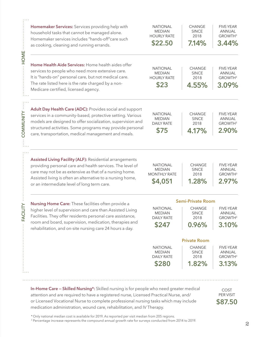|               | Homemaker Services: Services providing help with<br>household tasks that cannot be managed alone.<br>Homemaker services includes "hands-off"care such<br>as cooking, cleaning and running errands.                                                                                                        | <b>NATIONAL</b><br><b>MEDIAN</b><br><b>HOURLY RATE</b><br>\$22.50  | <b>CHANGE</b><br><b>SINCE</b><br>2018<br>7.14% | <b>FIVE-YEAR</b><br><b>ANNUAL</b><br>GROWTH <sup>3</sup><br>3.44% |
|---------------|-----------------------------------------------------------------------------------------------------------------------------------------------------------------------------------------------------------------------------------------------------------------------------------------------------------|--------------------------------------------------------------------|------------------------------------------------|-------------------------------------------------------------------|
| <b>HOME</b>   | Home Health Aide Services: Home health aides offer<br>services to people who need more extensive care.<br>It is "hands-on" personal care, but not medical care.<br>The rate listed here is the rate charged by a non-<br>Medicare certified, licensed agency.                                             | <b>NATIONAL</b><br><b>MEDIAN</b><br><b>HOURLY RATE</b><br>\$23     | CHANGE<br><b>SINCE</b><br>2018<br>4.55%        | <b>FIVE-YEAR</b><br>ANNUAL<br>GROWTH <sup>3</sup><br>3.09%        |
| COMMUNITY     | Adult Day Health Care (ADC): Provides social and support<br>services in a community-based, protective setting. Various<br>models are designed to offer socialization, supervision and<br>structured activities. Some programs may provide personal<br>care, transportation, medical management and meals. | <b>NATIONAL</b><br><b>MEDIAN</b><br><b>DAILY RATE</b><br>\$75      | <b>CHANGE</b><br><b>SINCE</b><br>2018<br>4.17% | <b>FIVE-YEAR</b><br><b>ANNUAL</b><br>GROWTH <sup>3</sup><br>2.90% |
|               | Assisted Living Facility (ALF): Residential arrangements<br>providing personal care and health services. The level of<br>care may not be as extensive as that of a nursing home.<br>Assisted living is often an alternative to a nursing home,<br>or an intermediate level of long term care.             | <b>NATIONAL</b><br><b>MEDIAN</b><br><b>MONTHLY RATE</b><br>\$4,051 | <b>CHANGE</b><br><b>SINCE</b><br>2018<br>1.28% | <b>FIVE-YEAR</b><br><b>ANNUAL</b><br>GROWTH <sup>3</sup><br>2.97% |
| <b>FACILI</b> |                                                                                                                                                                                                                                                                                                           | <b>Semi-Private Room</b>                                           |                                                |                                                                   |
|               | Nursing Home Care: These facilities often provide a<br>higher level of supervision and care than Assisted Living<br>Facilities. They offer residents personal care assistance,<br>room and board, supervision, medication, therapies and<br>rehabilitation, and on-site nursing care 24 hours a day.      | <b>NATIONAL</b><br><b>MEDIAN</b><br><b>DAILY RATE</b><br>\$247     | CHANGE<br><b>SINCE</b><br>2018<br>0.96%        | FIVE-YEAR<br>ANNUAL<br>GROWTH <sup>3</sup><br>3.10%               |
|               |                                                                                                                                                                                                                                                                                                           | <b>Private Room</b>                                                |                                                |                                                                   |
|               |                                                                                                                                                                                                                                                                                                           | <b>NATIONAL</b><br><b>MEDIAN</b><br><b>DAILY RATE</b>              | <b>CHANGE</b><br><b>SINCE</b><br>2018          | <b>FIVE-YEAR</b><br><b>ANNUAL</b><br>GROWTH <sup>3</sup>          |
|               |                                                                                                                                                                                                                                                                                                           | \$280                                                              | 1.82%                                          | 3.13%                                                             |

In-Home Care – Skilled Nursing\*: Skilled nursing is for people who need greater medical attention and are required to have a registered nurse, Licensed Practical Nurse, and/ or Licensed Vocational Nurse to complete professional nursing tasks which may include medication administration, wound care, rehabilitation, and IV Therapy.

COST PER VISIT \$87.50

\* Only national median cost is available for 2019. As reported per visit median from 205 regions.

<sup>3</sup> Percentage increase represents the compound annual growth rate for surveys conducted from 2014 to 2019.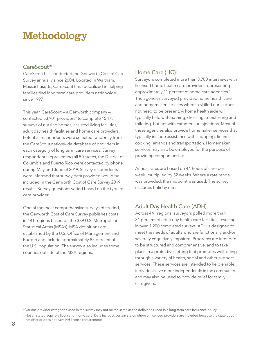## Methodology

### CareScout®

CareScout has conducted the Genworth Cost of Care Survey annually since 2004. Located in Waltham, Massachusetts, CareScout has specialized in helping families find long term care providers nationwide since 1997.

This year, CareScout — a Genworth company contacted 53,901 providers<sup>4</sup> to complete 15,178 surveys of nursing homes, assisted living facilities, adult day health facilities and home care providers. Potential respondents were selected randomly from the CareScout nationwide database of providers in each category of long term care services. Survey respondents representing all 50 states, the District of Columbia and Puerto Rico were contacted by phone during May and June of 2019. Survey respondents were informed that survey data provided would be included in the Genworth Cost of Care Survey 2019 results. Survey questions varied based on the type of care provider.

One of the most comprehensive surveys of its kind, the Genworth Cost of Care Survey publishes costs in 441 regions based on the 389 U.S. Metropolitan Statistical Areas (MSAs). MSA definitions are established by the U.S. Office of Management and Budget and include approximately 85 percent of the U.S. population. The survey also includes some counties outside of the MSA regions.

### Home Care (HC)<sup>5</sup>

Surveyors completed more than 3,700 interviews with licensed home health care providers representing approximately 11 percent of home care agencies.<sup>5</sup> The agencies surveyed provided home health care and homemaker services where a skilled nurse does not need to be present. A home health aide will typically help with bathing, dressing, transferring and toileting, but not with catheters or injections. Most of these agencies also provide homemaker services that typically include assistance with shopping, finances, cooking, errands and transportation. Homemaker services may also be employed for the purpose of providing companionship.

Annual rates are based on 44 hours of care per week, multiplied by 52 weeks. Where a rate range was provided, the midpoint was used. The survey excludes holiday rates.

### Adult Day Health Care (ADH)

Across 441 regions, surveyors polled more than 31 percent of adult day health care facilities, resulting in over, 1,200 completed surveys. ADH is designed to meet the needs of adults who are functionally and/or severely cognitively impaired. Programs are intended to be structured and comprehensive, and to take place in a protective setting that promotes well-being through a variety of health, social and other support services. These services are intended to help enable individuals live more independently in the community and may also be used to provide relief for family caregivers.

<sup>4</sup> Various provider categories used in the survey may not be the same as the definitions used in a long term care insurance policy.

<sup>&</sup>lt;sup>5</sup> Not all states require a license for home care. Data includes certain states where unlicensed providers are included because the state does not offer or does not have HH license requirements.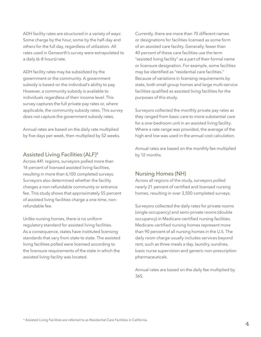ADH facility rates are structured in a variety of ways: Some charge by the hour, some by the half-day and others for the full day, regardless of utilization. All rates used in Genworth's survey were extrapolated to a daily (6-8 hours) rate.

ADH facility rates may be subsidized by the government or the community. A government subsidy is based on the individual's ability to pay. However, a community subsidy is available to individuals regardless of their income level. This survey captures the full private pay rates or, where applicable, the community subsidy rates. This survey does not capture the government subsidy rates.

Annual rates are based on the daily rate multiplied by five days per week, then multiplied by 52 weeks.

### Assisted Living Facilities (ALF)6

Across 441 regions, surveyors polled more than 14 percent of licensed assisted living facilities, resulting in more than 6,100 completed surveys. Surveyors also determined whether the facility charges a non-refundable community or entrance fee. This study shows that approximately 55 percent of assisted living facilities charge a one-time, nonrefundable fee.

Unlike nursing homes, there is no uniform regulatory standard for assisted living facilities. As a consequence, states have instituted licensing standards that vary from state to state. The assisted living facilities polled were licensed according to the licensure requirements of the state in which the assisted living facility was located.

Currently, there are more than 70 different names or designations for facilities licensed as some form of an assisted care facility. Generally, fewer than 40 percent of these care facilities use the term "assisted living facility" as a part of their formal name or licensure designation. For example, some facilities may be identified as "residential care facilities." Because of variations in licensing requirements by state, both small group homes and large multi-service facilities qualified as assisted living facilities for the purposes of this study.

Surveyors collected the monthly private pay rates as they ranged from basic care to more substantial care for a one-bedroom unit in an assisted living facility. Where a rate range was provided, the average of the high and low was used in the annual cost calculation.

Annual rates are based on the monthly fee multiplied by 12 months.

### Nursing Homes (NH)

Across all regions of the study, surveyors polled nearly 21 percent of certified and licensed nursing homes, resulting in over 3,500 completed surveys.

Surveyors collected the daily rates for private rooms (single occupancy) and semi-private rooms (double occupancy) in Medicare-certified nursing facilities. Medicare-certified nursing homes represent more than 90 percent of all nursing homes in the U.S. The daily room charge usually includes services beyond rent, such as three meals a day, laundry, sundries, basic nurse supervision and generic non-prescription pharmaceuticals.

Annual rates are based on the daily fee multiplied by 365.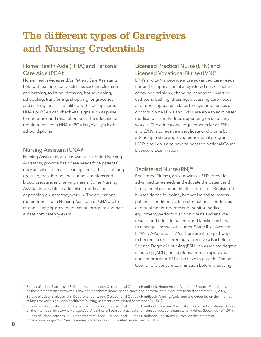# The different types of Caregivers and Nursing Credentials

### Home Health Aide (HHA) and Personal Care Aide (PCA)7

Home Health Aides and/or Patient Care Assistants help with patients' daily activities such as: cleaning and bathing, toileting, dressing, housekeeping, scheduling, transferring, shopping for groceries, and serving meals. If qualified with training, some HHA's or PCA's can check vital signs such as pulse, temperature, and respiration rate. The educational requirements for a HHA or PCA is typically a high school diploma.

### Nursing Assistant (CNA)8

Nursing Assistants, also knowns as Certified Nursing Assistants, provide basic care needs for a patients' daily activities such as: cleaning and bathing, toileting, dressing, transferring, measuring vital signs and blood pressure, and serving meals. Some Nursing Assistants are able to administer medications depending on state they work in. The educational requirements for a Nursing Assistant or CNA are to attend a state approved education program and pass a state competency exam.

### Licensed Practical Nurse (LPN) and Licensed Vocational Nurse (LVN)<sup>9</sup>

LPN's and LVN's, provide more advanced care needs under the supervision of a registered nurse, such as: checking vital signs, changing bandages, inserting catheters, bathing, dressing, discussing care needs, and reporting patient status to registered nurses or doctors. Some LPN's and LVN's are able to administer medications and IV drips depending on state they work in. The educational requirements for a LPN's and LVN's is to receive a certificate or diploma by attending a state approved educational program. LPN's and LVN's also have to pass the National Council Licensure Examination.

### Registered Nurse (RN)<sup>10</sup>

Registered Nurses, also knowns as RN's, provide advanced care needs and educate the patient and family members about health conditions. Registered Nurses do the following, but not limited to: assess patients' conditions, administer patient's medicines and treatments, operate and monitor medical equipment, perform diagnostic tests and analyze results, and educate patients and families on how to manage illnesses or injuries. Some RN's oversee LPN's, CNA's, and HHA's. There are three pathways to become a registered nurse: receive a Bachelor of Science Degree in nursing (BSN), an associate degree in nursing (ADN), or a diploma from an approved nursing program. RN's also have to pass the National Council of Licensure Examination before practicing.

<sup>7</sup> Bureau of Labor Statistics, U.S. Department of Labor, Occupational Outlook Handbook, Home Health Aides and Personal Care Aides, on the Internet at https://www.bls.gov/ooh/healthcare/home-health-aides-and-personal-care-aides.htm (visited September 04, 2019).

<sup>&</sup>lt;sup>8</sup> Bureau of Labor Statistics, U.S. Department of Labor, Occupational Outlook Handbook, Nursing Assistants and Orderlies, on the Internet at https://www.bls.gov/ooh/healthcare/nursing-assistants.htm (visited September 04, 2019).

<sup>9</sup> Bureau of Labor Statistics, U.S. Department of Labor, Occupational Outlook Handbook, Licensed Practical and Licensed Vocational Nurses, on the Internet at https://www.bls.gov/ooh/healthcare/licensed-practical-and-licensed-vocationalnurses. htm (visited September 04, 2019).

<sup>&</sup>lt;sup>10</sup> Bureau of Labor Statistics, U.S. Department of Labor, Occupational Outlook Handbook, Registered Nurses, on the Internet at https://www.bls.gov/ooh/healthcare/registered-nurses.htm (visited September 04, 2019).